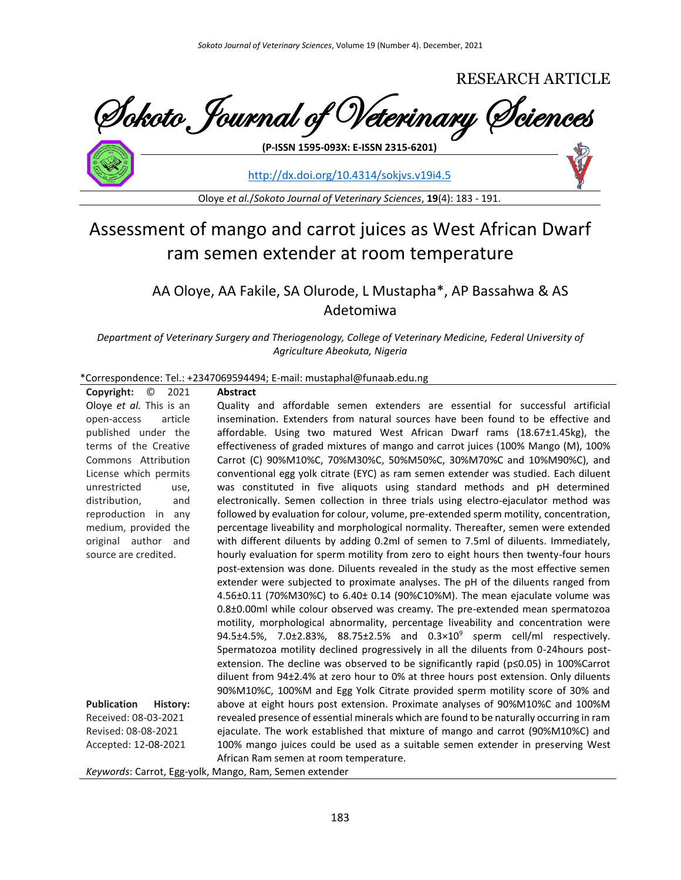

<http://dx.doi.org/10.4314/sokjvs.v19i4.5>

Oloye *et al.*/*Sokoto Journal of Veterinary Sciences*, **19**(4): 183 - 191.

# Assessment of mango and carrot juices as West African Dwarf ram semen extender at room temperature

# AA Oloye, AA Fakile, SA Olurode, L Mustapha\*, AP Bassahwa & AS Adetomiwa

*Department of Veterinary Surgery and Theriogenology, College of Veterinary Medicine, Federal University of Agriculture Abeokuta, Nigeria*

#### \*Correspondence: Tel.: +2347069594494; E-mail: mustaphal@funaab.edu.ng

| $\circ$ 2021<br>Copyright:     | <b>Abstract</b>                                                                          |
|--------------------------------|------------------------------------------------------------------------------------------|
| Oloye et al. This is an        | Quality and affordable semen extenders are essential for successful artificial           |
| article<br>open-access         | insemination. Extenders from natural sources have been found to be effective and         |
| published under the            | affordable. Using two matured West African Dwarf rams (18.67±1.45kg), the                |
| terms of the Creative          | effectiveness of graded mixtures of mango and carrot juices (100% Mango (M), 100%        |
| Commons Attribution            | Carrot (C) 90%M10%C, 70%M30%C, 50%M50%C, 30%M70%C and 10%M90%C), and                     |
| License which permits          | conventional egg yolk citrate (EYC) as ram semen extender was studied. Each diluent      |
| unrestricted<br>use,           | was constituted in five aliquots using standard methods and pH determined                |
| distribution,<br>and           | electronically. Semen collection in three trials using electro-ejaculator method was     |
| reproduction in any            | followed by evaluation for colour, volume, pre-extended sperm motility, concentration,   |
| medium, provided the           | percentage liveability and morphological normality. Thereafter, semen were extended      |
| original author and            | with different diluents by adding 0.2ml of semen to 7.5ml of diluents. Immediately,      |
| source are credited.           | hourly evaluation for sperm motility from zero to eight hours then twenty-four hours     |
|                                | post-extension was done. Diluents revealed in the study as the most effective semen      |
|                                | extender were subjected to proximate analyses. The pH of the diluents ranged from        |
|                                | 4.56±0.11 (70%M30%C) to 6.40± 0.14 (90%C10%M). The mean ejaculate volume was             |
|                                | 0.8±0.00ml while colour observed was creamy. The pre-extended mean spermatozoa           |
|                                | motility, morphological abnormality, percentage liveability and concentration were       |
|                                | 94.5±4.5%, 7.0±2.83%, 88.75±2.5% and $0.3 \times 10^{9}$ sperm cell/ml respectively.     |
|                                | Spermatozoa motility declined progressively in all the diluents from 0-24 hours post-    |
|                                | extension. The decline was observed to be significantly rapid (p≤0.05) in 100%Carrot     |
|                                | diluent from 94±2.4% at zero hour to 0% at three hours post extension. Only diluents     |
|                                | 90%M10%C, 100%M and Egg Yolk Citrate provided sperm motility score of 30% and            |
| <b>Publication</b><br>History: | above at eight hours post extension. Proximate analyses of 90%M10%C and 100%M            |
| Received: 08-03-2021           | revealed presence of essential minerals which are found to be naturally occurring in ram |
| Revised: 08-08-2021            | ejaculate. The work established that mixture of mango and carrot (90%M10%C) and          |
| Accepted: 12-08-2021           | 100% mango juices could be used as a suitable semen extender in preserving West          |
|                                | African Ram semen at room temperature.                                                   |
|                                | Keywords: Carrot, Egg-volk, Mango, Ram, Semen extender                                   |

*Keywords*: Carrot, Egg-yolk, Mango, Ram, Semen extender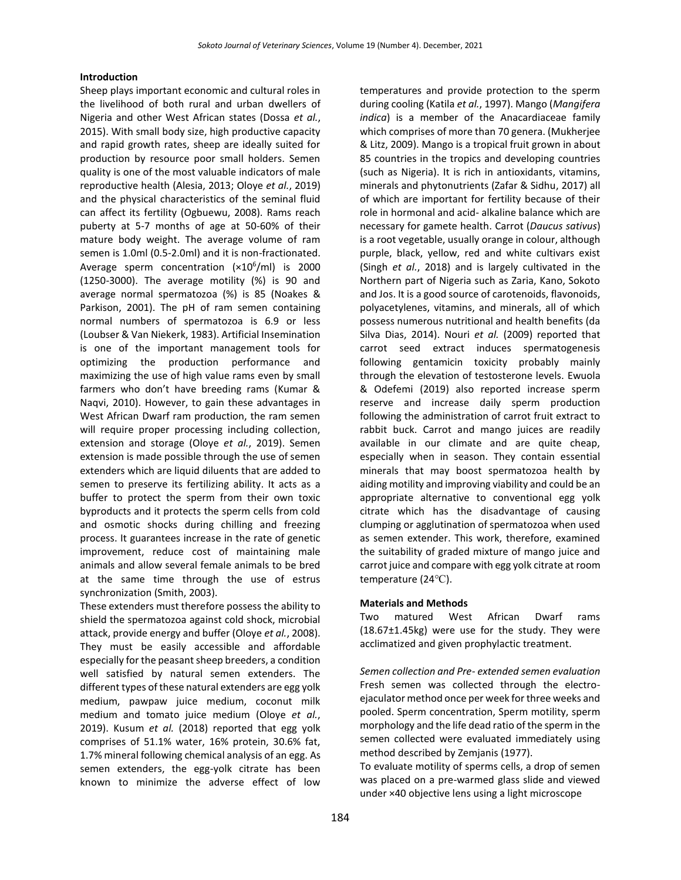#### **Introduction**

Sheep plays important economic and cultural roles in the livelihood of both rural and urban dwellers of Nigeria and other West African states (Dossa *et al.*, 2015). With small body size, high productive capacity and rapid growth rates, sheep are ideally suited for production by resource poor small holders. Semen quality is one of the most valuable indicators of male reproductive health (Alesia, 2013; Oloye *et al.*, 2019) and the physical characteristics of the seminal fluid can affect its fertility (Ogbuewu, 2008). Rams reach puberty at 5-7 months of age at 50-60% of their mature body weight. The average volume of ram semen is 1.0ml (0.5-2.0ml) and it is non-fractionated. Average sperm concentration (×10<sup>6</sup>/ml) is 2000 (1250-3000). The average motility (%) is 90 and average normal spermatozoa (%) is 85 (Noakes & Parkison, 2001). The pH of ram semen containing normal numbers of spermatozoa is 6.9 or less (Loubser & Van Niekerk, 1983). Artificial Insemination is one of the important management tools for optimizing the production performance and maximizing the use of high value rams even by small farmers who don't have breeding rams (Kumar & Naqvi, 2010). However, to gain these advantages in West African Dwarf ram production, the ram semen will require proper processing including collection, extension and storage (Oloye *et al.*, 2019). Semen extension is made possible through the use of semen extenders which are liquid diluents that are added to semen to preserve its fertilizing ability. It acts as a buffer to protect the sperm from their own toxic byproducts and it protects the sperm cells from cold and osmotic shocks during chilling and freezing process. It guarantees increase in the rate of genetic improvement, reduce cost of maintaining male animals and allow several female animals to be bred at the same time through the use of estrus synchronization (Smith, 2003).

These extenders must therefore possess the ability to shield the spermatozoa against cold shock, microbial attack, provide energy and buffer (Oloye *et al.*, 2008). They must be easily accessible and affordable especially for the peasant sheep breeders, a condition well satisfied by natural semen extenders. The different types of these natural extenders are egg yolk medium, pawpaw juice medium, coconut milk medium and tomato juice medium (Oloye *et al.*, 2019). Kusum *et al.* (2018) reported that egg yolk comprises of 51.1% water, 16% protein, 30.6% fat, 1.7% mineral following chemical analysis of an egg. As semen extenders, the egg-yolk citrate has been known to minimize the adverse effect of low temperatures and provide protection to the sperm during cooling (Katila *et al.*, 1997). Mango (*Mangifera indica*) is a member of the Anacardiaceae family which comprises of more than 70 genera. (Mukherjee & Litz, 2009). Mango is a tropical fruit grown in about 85 countries in the tropics and developing countries (such as Nigeria). It is rich in antioxidants, vitamins, minerals and phytonutrients (Zafar & Sidhu, 2017) all of which are important for fertility because of their role in hormonal and acid- alkaline balance which are necessary for gamete health. Carrot (*Daucus sativus*) is a root vegetable, usually orange in colour, although purple, black, yellow, red and white cultivars exist (Singh *et al.*, 2018) and is largely cultivated in the Northern part of Nigeria such as Zaria, Kano, Sokoto and Jos. It is a good source of carotenoids, flavonoids, polyacetylenes, vitamins, and minerals, all of which possess numerous nutritional and health benefits (da Silva Dias, 2014). Nouri *et al.* (2009) reported that carrot seed extract induces spermatogenesis following gentamicin toxicity probably mainly through the elevation of testosterone levels. Ewuola & Odefemi (2019) also reported increase sperm reserve and increase daily sperm production following the administration of carrot fruit extract to rabbit buck. Carrot and mango juices are readily available in our climate and are quite cheap, especially when in season. They contain essential minerals that may boost spermatozoa health by aiding motility and improving viability and could be an appropriate alternative to conventional egg yolk citrate which has the disadvantage of causing clumping or agglutination of spermatozoa when used as semen extender. This work, therefore, examined the suitability of graded mixture of mango juice and carrot juice and compare with egg yolk citrate at room temperature (24℃).

#### **Materials and Methods**

Two matured West African Dwarf rams (18.67±1.45kg) were use for the study. They were acclimatized and given prophylactic treatment.

*Semen collection and Pre- extended semen evaluation* Fresh semen was collected through the electroejaculator method once per week for three weeks and pooled. Sperm concentration, Sperm motility, sperm morphology and the life dead ratio of the sperm in the semen collected were evaluated immediately using method described by Zemjanis (1977).

To evaluate motility of sperms cells, a drop of semen was placed on a pre-warmed glass slide and viewed under ×40 objective lens using a light microscope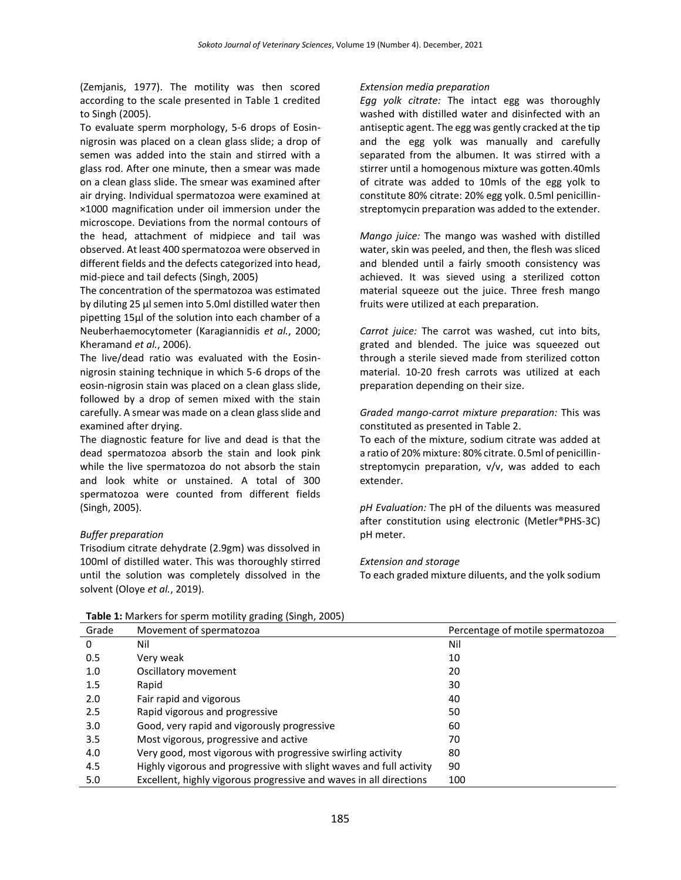(Zemjanis, 1977). The motility was then scored according to the scale presented in Table 1 credited to Singh (2005).

To evaluate sperm morphology, 5-6 drops of Eosinnigrosin was placed on a clean glass slide; a drop of semen was added into the stain and stirred with a glass rod. After one minute, then a smear was made on a clean glass slide. The smear was examined after air drying. Individual spermatozoa were examined at ×1000 magnification under oil immersion under the microscope. Deviations from the normal contours of the head, attachment of midpiece and tail was observed. At least 400 spermatozoa were observed in different fields and the defects categorized into head, mid-piece and tail defects (Singh, 2005)

The concentration of the spermatozoa was estimated by diluting 25 μl semen into 5.0ml distilled water then pipetting 15μl of the solution into each chamber of a Neuberhaemocytometer (Karagiannidis *et al.*, 2000; Kheramand *et al.*, 2006).

The live/dead ratio was evaluated with the Eosinnigrosin staining technique in which 5-6 drops of the eosin-nigrosin stain was placed on a clean glass slide, followed by a drop of semen mixed with the stain carefully. A smear was made on a clean glass slide and examined after drying.

The diagnostic feature for live and dead is that the dead spermatozoa absorb the stain and look pink while the live spermatozoa do not absorb the stain and look white or unstained. A total of 300 spermatozoa were counted from different fields (Singh, 2005).

# *Buffer preparation*

Trisodium citrate dehydrate (2.9gm) was dissolved in 100ml of distilled water. This was thoroughly stirred until the solution was completely dissolved in the solvent (Oloye *et al.*, 2019).

#### *Extension media preparation*

*Egg yolk citrate:* The intact egg was thoroughly washed with distilled water and disinfected with an antiseptic agent. The egg was gently cracked at the tip and the egg yolk was manually and carefully separated from the albumen. It was stirred with a stirrer until a homogenous mixture was gotten.40mls of citrate was added to 10mls of the egg yolk to constitute 80% citrate: 20% egg yolk. 0.5ml penicillinstreptomycin preparation was added to the extender.

*Mango juice:* The mango was washed with distilled water, skin was peeled, and then, the flesh was sliced and blended until a fairly smooth consistency was achieved. It was sieved using a sterilized cotton material squeeze out the juice. Three fresh mango fruits were utilized at each preparation.

*Carrot juice:* The carrot was washed, cut into bits, grated and blended. The juice was squeezed out through a sterile sieved made from sterilized cotton material. 10-20 fresh carrots was utilized at each preparation depending on their size.

*Graded mango-carrot mixture preparation:* This was constituted as presented in Table 2.

To each of the mixture, sodium citrate was added at a ratio of 20% mixture: 80% citrate. 0.5ml of penicillinstreptomycin preparation, v/v, was added to each extender.

*pH Evaluation:* The pH of the diluents was measured after constitution using electronic (Metler®PHS-3C) pH meter.

# *Extension and storage*

To each graded mixture diluents, and the yolk sodium

| Grade | Movement of spermatozoa                                             | Percentage of motile spermatozoa |
|-------|---------------------------------------------------------------------|----------------------------------|
| 0     | Nil                                                                 | Nil                              |
| 0.5   | Very weak                                                           | 10                               |
| 1.0   | Oscillatory movement                                                | 20                               |
| 1.5   | Rapid                                                               | 30                               |
| 2.0   | Fair rapid and vigorous                                             | 40                               |
| 2.5   | Rapid vigorous and progressive                                      | 50                               |
| 3.0   | Good, very rapid and vigorously progressive                         | 60                               |
| 3.5   | Most vigorous, progressive and active                               | 70                               |
| 4.0   | Very good, most vigorous with progressive swirling activity         | 80                               |
| 4.5   | Highly vigorous and progressive with slight waves and full activity | 90                               |
| 5.0   | Excellent, highly vigorous progressive and waves in all directions  | 100                              |

**Table 1:** Markers for sperm motility grading (Singh, 2005)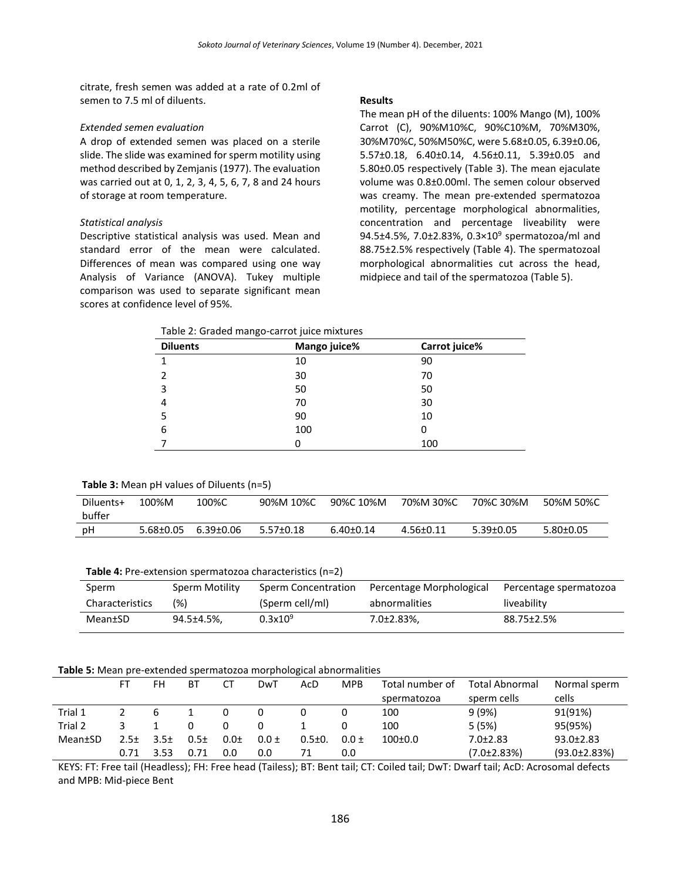citrate, fresh semen was added at a rate of 0.2ml of semen to 7.5 ml of diluents.

## *Extended semen evaluation*

A drop of extended semen was placed on a sterile slide. The slide was examined for sperm motility using method described by Zemjanis (1977). The evaluation was carried out at 0, 1, 2, 3, 4, 5, 6, 7, 8 and 24 hours of storage at room temperature.

#### *Statistical analysis*

Descriptive statistical analysis was used. Mean and standard error of the mean were calculated. Differences of mean was compared using one way Analysis of Variance (ANOVA). Tukey multiple comparison was used to separate significant mean scores at confidence level of 95%.

#### **Results**

The mean pH of the diluents: 100% Mango (M), 100% Carrot (C), 90%M10%C, 90%C10%M, 70%M30%, 30%M70%C, 50%M50%C, were 5.68±0.05, 6.39±0.06, 5.57±0.18, 6.40±0.14, 4.56±0.11, 5.39±0.05 and 5.80±0.05 respectively (Table 3). The mean ejaculate volume was 0.8±0.00ml. The semen colour observed was creamy. The mean pre-extended spermatozoa motility, percentage morphological abnormalities, concentration and percentage liveability were 94.5±4.5%, 7.0±2.83%, 0.3×10<sup>9</sup> spermatozoa/ml and 88.75±2.5% respectively (Table 4). The spermatozoal morphological abnormalities cut across the head, midpiece and tail of the spermatozoa (Table 5).

|                 | Table 2: Graded mango-carrot juice mixtures |               |
|-----------------|---------------------------------------------|---------------|
| <b>Diluents</b> | Mango inice%                                | Carrot inice% |

| <b>DINEIRS</b> | <b>INIGHTSO</b> JUILE 70 | Carrot Julie % |  |
|----------------|--------------------------|----------------|--|
|                | 10                       | 90             |  |
| 2              | 30                       | 70             |  |
| 3              | 50                       | 50             |  |
| 4              | 70                       | 30             |  |
|                | 90                       | 10             |  |
| 6              | 100                      | O              |  |
|                |                          | 100            |  |

#### **Table 3:** Mean pH values of Diluents (n=5)

| Diluents+ | 100%M     | 100%C     | 90%M 10%C       | 90%C 10%M       | 70%M 30%C | 70%C 30%M       | 50%M 50%C       |
|-----------|-----------|-----------|-----------------|-----------------|-----------|-----------------|-----------------|
| buffer    |           |           |                 |                 |           |                 |                 |
| рH        | 5.68±0.05 | 6.39±0.06 | $5.57 \pm 0.18$ | $6.40 \pm 0.14$ | 4.56±0.11 | $5.39 \pm 0.05$ | $5.80 \pm 0.05$ |

#### **Table 4:** Pre-extension spermatozoa characteristics (n=2)

| Sperm           | Sperm Motility | Sperm Concentration | Percentage Morphological | Percentage spermatozoa |
|-----------------|----------------|---------------------|--------------------------|------------------------|
| Characteristics | (96)           | (Sperm cell/ml)     | abnormalities            | liveability            |
| Mean±SD         | 94.5±4.5%.     | $0.3x10^{9}$        | 7.0±2.83%,               | 88.75±2.5%             |

#### **Table 5:** Mean pre-extended spermatozoa morphological abnormalities

|         | FT   | FH               | BT     | $C^{\mathsf{T}}$ | DwT       | AcD          | <b>MPB</b> | Total number of | <b>Total Abnormal</b> | Normal sperm        |
|---------|------|------------------|--------|------------------|-----------|--------------|------------|-----------------|-----------------------|---------------------|
|         |      |                  |        |                  |           |              |            | spermatozoa     | sperm cells           | cells               |
| Trial 1 |      | b                |        |                  |           |              |            | 100             | 9(9%)                 | 91(91%)             |
| Trial 2 |      |                  |        |                  |           |              |            | 100             | 5(5%)                 | 95(95%)             |
| Mean±SD | 2.5± | 3.5 <sub>±</sub> | $0.5+$ | 0.0 <sub>±</sub> | $0.0 \pm$ | $0.5 \pm 0.$ | $0.0 \pm$  | $100+0.0$       | $7.0 \pm 2.83$        | $93.0 \pm 2.83$     |
|         | 0.71 | 3.53             | 0.71   | 0.0              | 0.0       |              | 0.0        |                 | (7.0±2.83%)           | $(93.0 \pm 2.83\%)$ |

KEYS: FT: Free tail (Headless); FH: Free head (Tailess); BT: Bent tail; CT: Coiled tail; DwT: Dwarf tail; AcD: Acrosomal defects and MPB: Mid-piece Bent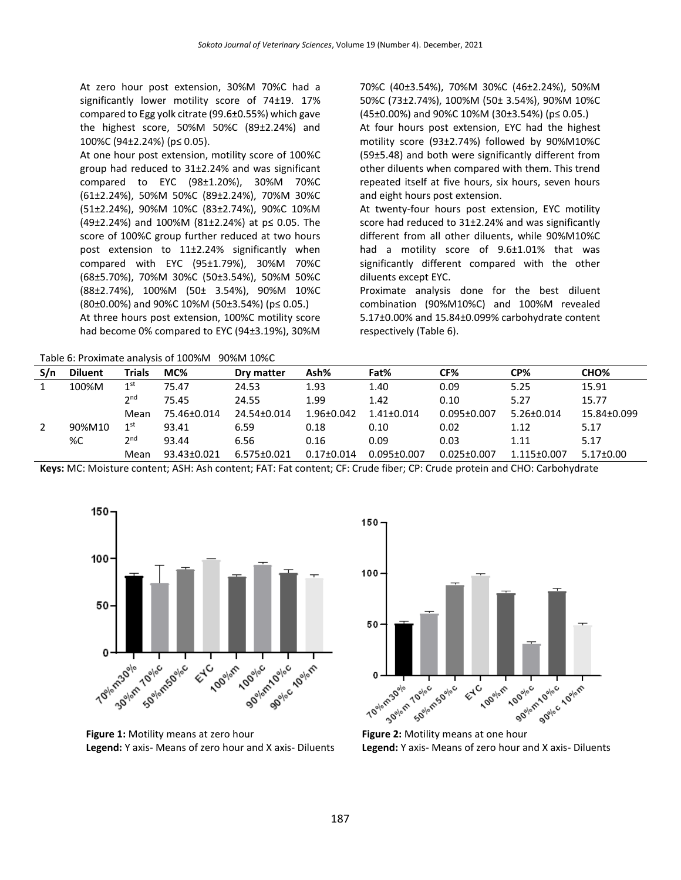At zero hour post extension, 30%M 70%C had a significantly lower motility score of 74±19. 17% compared to Egg yolk citrate (99.6±0.55%) which gave the highest score, 50%M 50%C (89±2.24%) and 100%C (94±2.24%) (p≤ 0.05).

At one hour post extension, motility score of 100%C group had reduced to 31±2.24% and was significant compared to EYC (98±1.20%), 30%M 70%C (61±2.24%), 50%M 50%C (89±2.24%), 70%M 30%C (51±2.24%), 90%M 10%C (83±2.74%), 90%C 10%M (49±2.24%) and 100%M (81±2.24%) at p≤ 0.05. The score of 100%C group further reduced at two hours post extension to 11±2.24% significantly when compared with EYC (95±1.79%), 30%M 70%C (68±5.70%), 70%M 30%C (50±3.54%), 50%M 50%C (88±2.74%), 100%M (50± 3.54%), 90%M 10%C (80±0.00%) and 90%C 10%M (50±3.54%) (p≤ 0.05.) At three hours post extension, 100%C motility score had become 0% compared to EYC (94±3.19%), 30%M

 $Table 6: Proving to a public of 1000/M 9000/M 100/C$ 

70%C (40±3.54%), 70%M 30%C (46±2.24%), 50%M 50%C (73±2.74%), 100%M (50± 3.54%), 90%M 10%C (45±0.00%) and 90%C 10%M (30±3.54%) (p≤ 0.05.)

At four hours post extension, EYC had the highest motility score (93±2.74%) followed by 90%M10%C (59±5.48) and both were significantly different from other diluents when compared with them. This trend repeated itself at five hours, six hours, seven hours and eight hours post extension.

At twenty-four hours post extension, EYC motility score had reduced to 31±2.24% and was significantly different from all other diluents, while 90%M10%C had a motility score of 9.6±1.01% that was significantly different compared with the other diluents except EYC.

Proximate analysis done for the best diluent combination (90%M10%C) and 100%M revealed 5.17±0.00% and 15.84±0.099% carbohydrate content respectively (Table 6).

|     | Table 6: Proximate analysis of 100%M 90%M 10%C |                 |             |             |                  |                   |                   |                  |                  |  |  |
|-----|------------------------------------------------|-----------------|-------------|-------------|------------------|-------------------|-------------------|------------------|------------------|--|--|
| S/n | <b>Diluent</b>                                 | <b>Trials</b>   | MC%         | Dry matter  | Ash%             | Fat%              | CF%               | CP%              | CHO <sub>%</sub> |  |  |
|     | 100%M                                          | 1 <sup>st</sup> | 75.47       | 24.53       | 1.93             | 1.40              | 0.09              | 5.25             | 15.91            |  |  |
|     |                                                | 2 <sub>nd</sub> | 75.45       | 24.55       | 1.99             | 1.42              | 0.10              | 5.27             | 15.77            |  |  |
|     |                                                | Mean            | 75.46±0.014 | 24.54±0.014 | $1.96 \pm 0.042$ | $1.41 + 0.014$    | $0.095 \pm 0.007$ | $5.26 \pm 0.014$ | 15.84±0.099      |  |  |
|     | 90%M10                                         | 1 <sup>st</sup> | 93.41       | 6.59        | 0.18             | 0.10              | 0.02              | 1.12             | 5.17             |  |  |
|     | %C                                             | 2 <sup>nd</sup> | 93.44       | 6.56        | 0.16             | 0.09              | 0.03              | 1.11             | 5.17             |  |  |
|     |                                                | Mean            | 93.43±0.021 | 6.575±0.021 | $0.17 \pm 0.014$ | $0.095 \pm 0.007$ | $0.025 \pm 0.007$ | 1.115±0.007      | $5.17 \pm 0.00$  |  |  |

150

100

50

0

**Keys:** MC: Moisture content; ASH: Ash content; FAT: Fat content; CF: Crude fiber; CP: Crude protein and CHO: Carbohydrate



The Figure 2: Motility means at one hour golic 10llam 70% m30% 10% m 50% c **90% m 10% of 10% of 10% of 10% of 10% of 10% of 10% of 10% of 10% of 10% of 10% of 10% of 10% of 10% of 10% of 10% of 10% of 10% of 10% of 10% of 10% of 10% of 10% of 10% of 10% of 10% of 10% of 10% of 10% of 10% of 10% o Legend:** Y axis- Means of zero hour and X axis- Diluents

EVC 1

**-**<br>Cogolom

**100°** olem

**Figure 1:** Motility means at zero hour **Legend:** Y axis- Means of zero hour and X axis- Diluents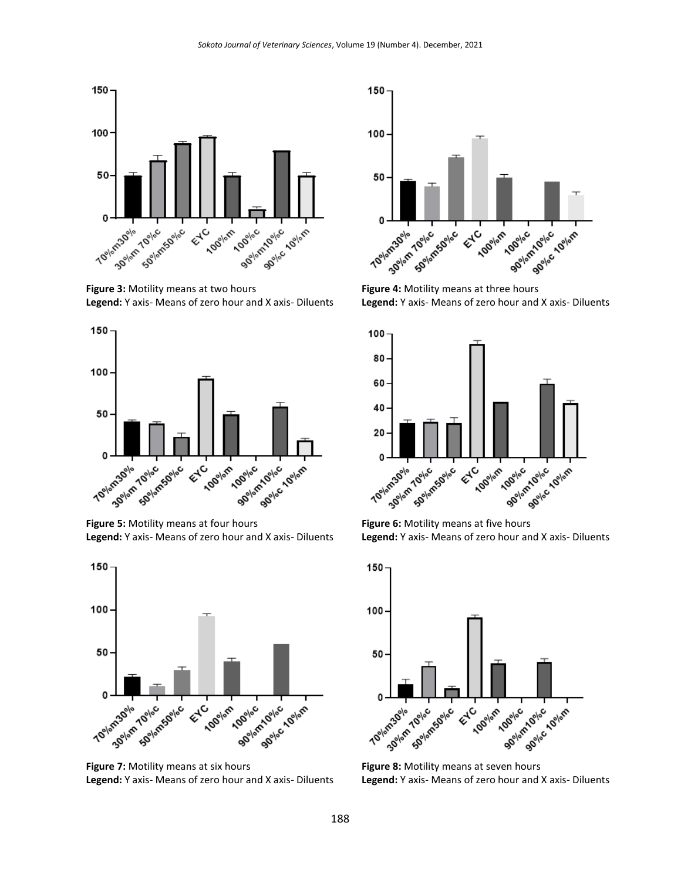

**Figure 5:** Motility means at four hours **Legend:** Y axis- Means of zero hour and X axis- Diluents



**Figure 3:** Motility means at two hours **Legend:** Y axis- Means of zero hour and X axis- Diluents



**Figure 8:** Motility means at seven hours **Legend:** Y axis- Means of zero hour and X axis- Diluents



**Figure 6:** Motility means at five hours **Legend:** Y axis- Means of zero hour and X axis- Diluents



**Legend:** Y axis- Means of zero hour and X axis- Diluents

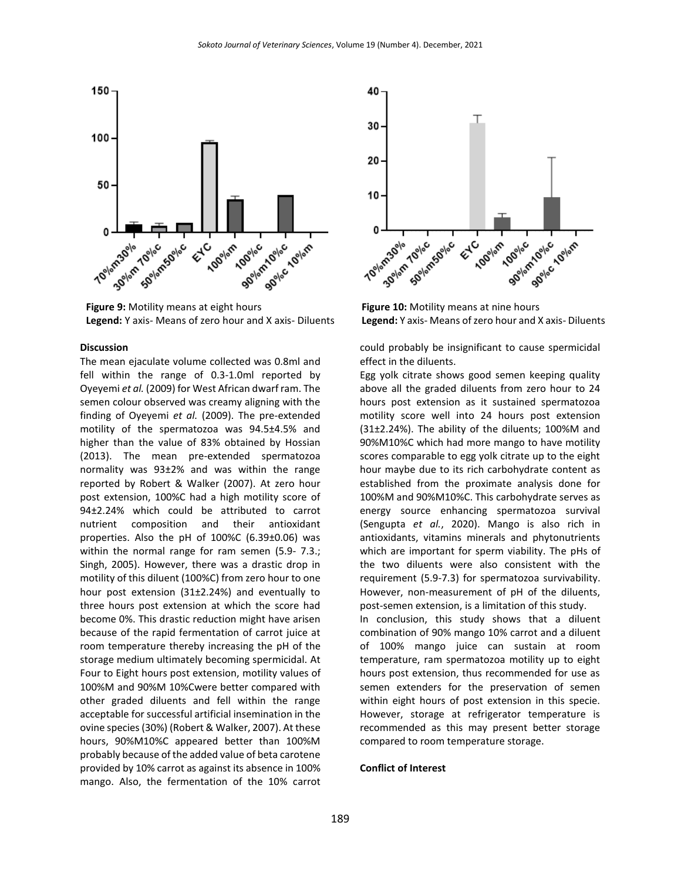

**Figure 9:** Motility means at eight hours **Legend:** Y axis- Means of zero hour and X axis- Diluents

#### **Discussion**

The mean ejaculate volume collected was 0.8ml and fell within the range of 0.3-1.0ml reported by Oyeyemi *et al.* (2009) for West African dwarf ram. The semen colour observed was creamy aligning with the finding of Oyeyemi *et al.* (2009). The pre-extended motility of the spermatozoa was 94.5±4.5% and higher than the value of 83% obtained by Hossian (2013). The mean pre-extended spermatozoa normality was 93±2% and was within the range reported by Robert & Walker (2007). At zero hour post extension, 100%C had a high motility score of 94±2.24% which could be attributed to carrot nutrient composition and their antioxidant properties. Also the pH of 100%C (6.39±0.06) was within the normal range for ram semen (5.9-7.3.; Singh, 2005). However, there was a drastic drop in motility of this diluent (100%C) from zero hour to one hour post extension (31±2.24%) and eventually to three hours post extension at which the score had become 0%. This drastic reduction might have arisen because of the rapid fermentation of carrot juice at room temperature thereby increasing the pH of the storage medium ultimately becoming spermicidal. At Four to Eight hours post extension, motility values of 100%M and 90%M 10%Cwere better compared with other graded diluents and fell within the range acceptable for successful artificial insemination in the ovine species (30%) (Robert & Walker, 2007). At these hours, 90%M10%C appeared better than 100%M probably because of the added value of beta carotene provided by 10% carrot as against its absence in 100% mango. Also, the fermentation of the 10% carrot



**Figure 10:** Motility means at nine hours **Legend:** Y axis- Means of zero hour and X axis- Diluents

could probably be insignificant to cause spermicidal effect in the diluents.

Egg yolk citrate shows good semen keeping quality above all the graded diluents from zero hour to 24 hours post extension as it sustained spermatozoa motility score well into 24 hours post extension (31±2.24%). The ability of the diluents; 100%M and 90%M10%C which had more mango to have motility scores comparable to egg yolk citrate up to the eight hour maybe due to its rich carbohydrate content as established from the proximate analysis done for 100%M and 90%M10%C. This carbohydrate serves as energy source enhancing spermatozoa survival (Sengupta *et al.*, 2020). Mango is also rich in antioxidants, vitamins minerals and phytonutrients which are important for sperm viability. The pHs of the two diluents were also consistent with the requirement (5.9-7.3) for spermatozoa survivability. However, non-measurement of pH of the diluents, post-semen extension, is a limitation of this study.

In conclusion, this study shows that a diluent combination of 90% mango 10% carrot and a diluent of 100% mango juice can sustain at room temperature, ram spermatozoa motility up to eight hours post extension, thus recommended for use as semen extenders for the preservation of semen within eight hours of post extension in this specie. However, storage at refrigerator temperature is recommended as this may present better storage compared to room temperature storage.

#### **Conflict of Interest**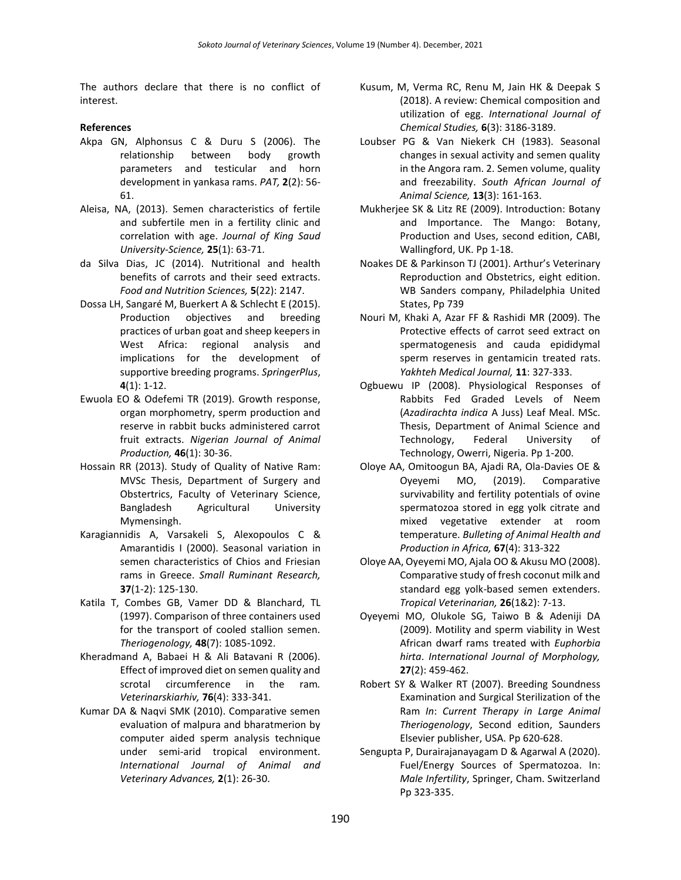The authors declare that there is no conflict of interest.

## **References**

- Akpa GN, Alphonsus C & Duru S (2006). The relationship between body growth parameters and testicular and horn development in yankasa rams. *PAT,* **2**(2): 56- 61.
- Aleisa, NA, (2013). Semen characteristics of fertile and subfertile men in a fertility clinic and correlation with age. *Journal of King Saud University-Science,* **25**(1): 63-71.
- da Silva Dias, JC (2014). Nutritional and health benefits of carrots and their seed extracts. *Food and Nutrition Sciences,* **5**(22): 2147.
- Dossa LH, Sangaré M, Buerkert A & Schlecht E (2015). Production objectives and breeding practices of urban goat and sheep keepers in West Africa: regional analysis and implications for the development of supportive breeding programs. *SpringerPlus*, **4**(1): 1-12.
- Ewuola EO & Odefemi TR (2019). Growth response, organ morphometry, sperm production and reserve in rabbit bucks administered carrot fruit extracts. *Nigerian Journal of Animal Production,* **46**(1): 30-36.
- Hossain RR (2013). Study of Quality of Native Ram: MVSc Thesis, Department of Surgery and Obstertrics, Faculty of Veterinary Science, Bangladesh Agricultural University Mymensingh.
- Karagiannidis A, Varsakeli S, Alexopoulos C & Amarantidis I (2000). Seasonal variation in semen characteristics of Chios and Friesian rams in Greece. *Small Ruminant Research,* **37**(1-2): 125-130.
- Katila T, Combes GB, Vamer DD & Blanchard, TL (1997). Comparison of three containers used for the transport of cooled stallion semen. *Theriogenology,* **48**(7): 1085-1092.
- Kheradmand A, Babaei H & Ali Batavani R (2006). Effect of improved diet on semen quality and scrotal circumference in the ram*. Veterinarskiarhiv,* **76**(4): 333-341.
- Kumar DA & Naqvi SMK (2010). Comparative semen evaluation of malpura and bharatmerion by computer aided sperm analysis technique under semi-arid tropical environment. *International Journal of Animal and Veterinary Advances,* **2**(1): 26-30.
- Kusum, M, Verma RC, Renu M, Jain HK & Deepak S (2018). A review: Chemical composition and utilization of egg. *International Journal of Chemical Studies,* **6**(3): 3186-3189.
- Loubser PG & Van Niekerk CH (1983). Seasonal changes in sexual activity and semen quality in the Angora ram. 2. Semen volume, quality and freezability. *South African Journal of Animal Science,* **13**(3): 161-163.
- Mukherjee SK & Litz RE (2009). Introduction: Botany and Importance. The Mango: Botany, Production and Uses, second edition, CABI, Wallingford, UK. Pp 1-18.
- Noakes DE & Parkinson TJ (2001). Arthur's Veterinary Reproduction and Obstetrics, eight edition. WB Sanders company, Philadelphia United States, Pp 739
- Nouri M, Khaki A, Azar FF & Rashidi MR (2009). The Protective effects of carrot seed extract on spermatogenesis and cauda epididymal sperm reserves in gentamicin treated rats. *Yakhteh Medical Journal,* **11**: 327-333.
- Ogbuewu IP (2008). Physiological Responses of Rabbits Fed Graded Levels of Neem (*Azadirachta indica* A Juss) Leaf Meal. MSc. Thesis, Department of Animal Science and Technology, Federal University of Technology, Owerri, Nigeria. Pp 1-200.
- Oloye AA, Omitoogun BA, Ajadi RA, Ola-Davies OE & Oyeyemi MO, (2019). Comparative survivability and fertility potentials of ovine spermatozoa stored in egg yolk citrate and mixed vegetative extender at room temperature. *Bulleting of Animal Health and Production in Africa,* **67**(4): 313-322
- Oloye AA, Oyeyemi MO, Ajala OO & Akusu MO (2008). Comparative study of fresh coconut milk and standard egg yolk-based semen extenders. *Tropical Veterinarian,* **26**(1&2): 7-13.
- Oyeyemi MO, Olukole SG, Taiwo B & Adeniji DA (2009). Motility and sperm viability in West African dwarf rams treated with *Euphorbia hirta*. *International Journal of Morphology,* **27**(2): 459-462.
- Robert SY & Walker RT (2007). Breeding Soundness Examination and Surgical Sterilization of the Ram *In*: *Current Therapy in Large Animal Theriogenology*, Second edition, Saunders Elsevier publisher, USA. Pp 620-628.
- Sengupta P, Durairajanayagam D & Agarwal A (2020). Fuel/Energy Sources of Spermatozoa. In: *Male Infertility*, Springer, Cham. Switzerland Pp 323-335.